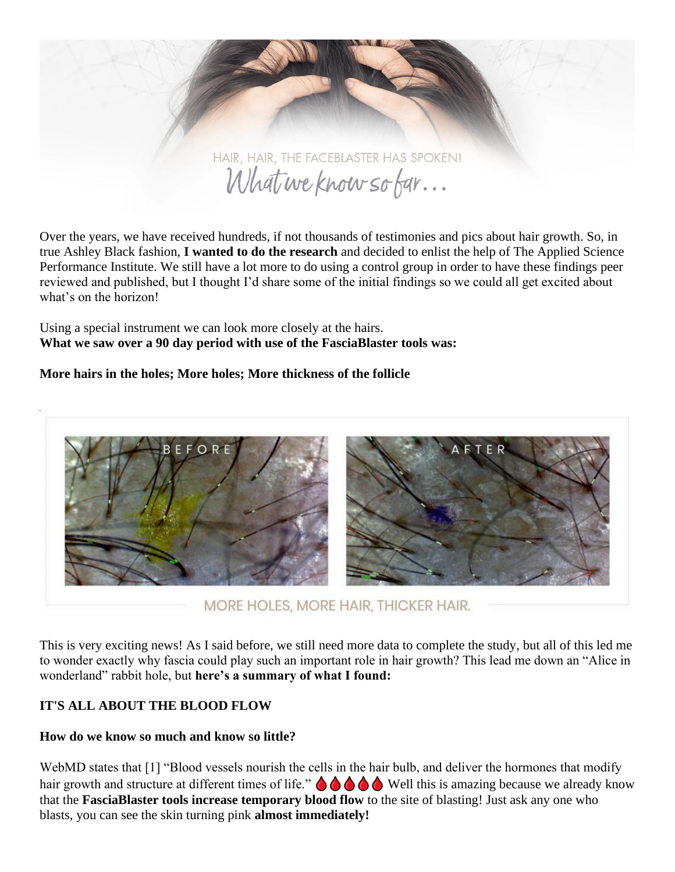

Over the years, we have received hundreds, if not thousands of testimonies and pics about hair growth. So, in true Ashley Black fashion, **I wanted to do the research** and decided to enlist the help of The Applied Science Performance Institute. We still have a lot more to do using a control group in order to have these findings peer reviewed and published, but I thought I'd share some of the initial findings so we could all get excited about what's on the horizon!

Using a special instrument we can look more closely at the hairs. **What we saw over a 90 day period with use of the FasciaBlaster tools was:**

## **More hairs in the holes; More holes; More thickness of the follicle**



MORE HOLES, MORE HAIR, THICKER HAIR.

This is very exciting news! As I said before, we still need more data to complete the study, but all of this led me to wonder exactly why fascia could play such an important role in hair growth? This lead me down an "Alice in wonderland" rabbit hole, but **here's a summary of what I found:**

# **IT'S ALL ABOUT THE BLOOD FLOW**

## **How do we know so much and know so little?**

WebMD states that [1] "Blood vessels nourish the cells in the hair bulb, and deliver the hormones that modify hair growth and structure at different times of life."  $\bigcirc \bigcirc \bigcirc \bigcirc \bigcirc$  Well this is amazing because we already know that the **FasciaBlaster tools increase temporary blood flow** to the site of blasting! Just ask any one who blasts, you can see the skin turning pink **almost immediately!**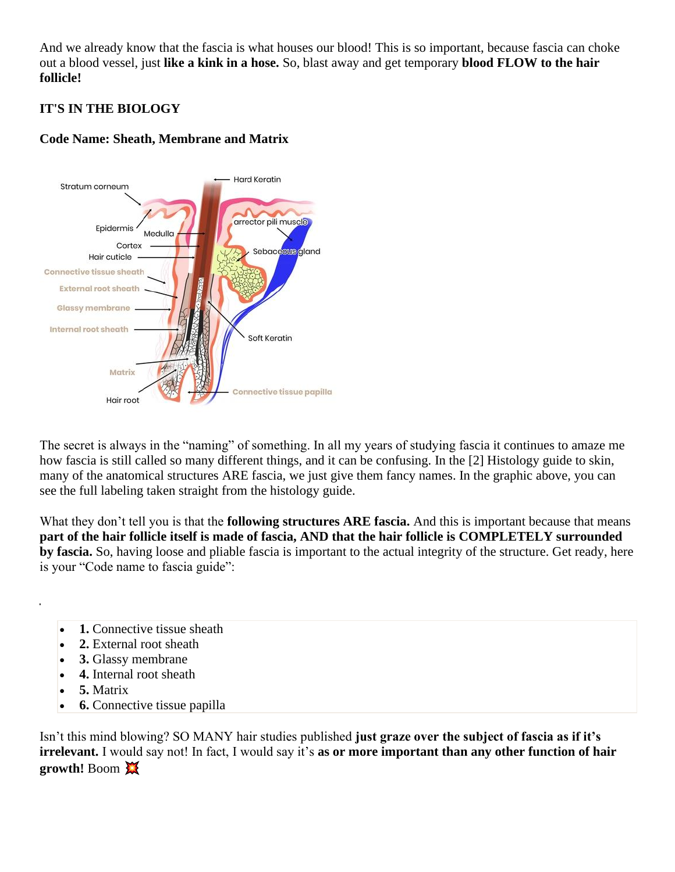And we already know that the fascia is what houses our blood! This is so important, because fascia can choke out a blood vessel, just **like a kink in a hose.** So, blast away and get temporary **blood FLOW to the hair follicle!**

# **IT'S IN THE BIOLOGY**



## **Code Name: Sheath, Membrane and Matrix**

The secret is always in the "naming" of something. In all my years of studying fascia it continues to amaze me how fascia is still called so many different things, and it can be confusing. In the [2] Histology guide to skin, many of the anatomical structures ARE fascia, we just give them fancy names. In the graphic above, you can see the full labeling taken straight from the histology guide.

What they don't tell you is that the **following structures ARE fascia.** And this is important because that means **part of the hair follicle itself is made of fascia, AND that the hair follicle is COMPLETELY surrounded by fascia.** So, having loose and pliable fascia is important to the actual integrity of the structure. Get ready, here is your "Code name to fascia guide":

- 1. Connective tissue sheath
- **2.** External root sheath
- **3.** Glassy membrane
- **4.** Internal root sheath
- **5.** Matrix
- **6.** Connective tissue papilla

Isn't this mind blowing? SO MANY hair studies published **just graze over the subject of fascia as if it's irrelevant.** I would say not! In fact, I would say it's **as or more important than any other function of hair growth!** Boom